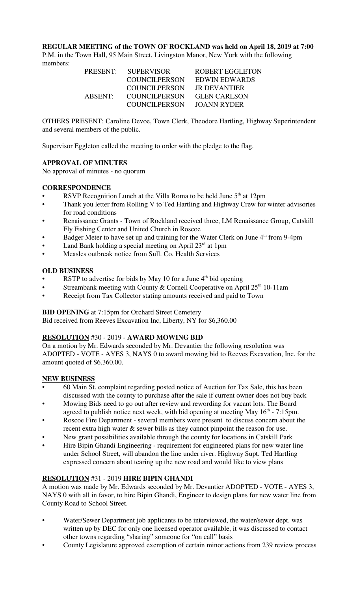**REGULAR MEETING of the TOWN OF ROCKLAND was held on April 18, 2019 at 7:00**

P.M. in the Town Hall, 95 Main Street, Livingston Manor, New York with the following members:

| <b>SUPERVISOR</b>    | ROBERT EGGLETON     |
|----------------------|---------------------|
| <b>COUNCILPERSON</b> | EDWIN EDWARDS       |
| COUNCILPERSON        | <b>IR DEVANTIER</b> |
| COUNCIL PERSON       | <b>GLEN CARLSON</b> |
| COUNCILPERSON        | JOANN RYDER         |
|                      |                     |

OTHERS PRESENT: Caroline Devoe, Town Clerk, Theodore Hartling, Highway Superintendent and several members of the public.

Supervisor Eggleton called the meeting to order with the pledge to the flag.

## **APPROVAL OF MINUTES**

No approval of minutes - no quorum

#### **CORRESPONDENCE**

- RSVP Recognition Lunch at the Villa Roma to be held June  $5<sup>th</sup>$  at 12pm
- Thank you letter from Rolling V to Ted Hartling and Highway Crew for winter advisories for road conditions
- Renaissance Grants Town of Rockland received three, LM Renaissance Group, Catskill Fly Fishing Center and United Church in Roscoe
- Badger Meter to have set up and training for the Water Clerk on June 4<sup>th</sup> from 9-4pm
- Land Bank holding a special meeting on April  $23<sup>rd</sup>$  at 1pm
- Measles outbreak notice from Sull. Co. Health Services

#### **OLD BUSINESS**

- RSTP to advertise for bids by May 10 for a June  $4<sup>th</sup>$  bid opening
- Streambank meeting with County & Cornell Cooperative on April  $25<sup>th</sup> 10-11$ am
- Receipt from Tax Collector stating amounts received and paid to Town

#### **BID OPENING** at 7:15pm for Orchard Street Cemetery

Bid received from Reeves Excavation Inc, Liberty, NY for \$6,360.00

## **RESOLUTION** #30 - 2019 - **AWARD MOWING BID**

On a motion by Mr. Edwards seconded by Mr. Devantier the following resolution was ADOPTED - VOTE - AYES 3, NAYS 0 to award mowing bid to Reeves Excavation, Inc. for the amount quoted of \$6,360.00.

## **NEW BUSINESS**

- 60 Main St. complaint regarding posted notice of Auction for Tax Sale, this has been discussed with the county to purchase after the sale if current owner does not buy back
- Mowing Bids need to go out after review and rewording for vacant lots. The Board agreed to publish notice next week, with bid opening at meeting May  $16<sup>th</sup>$  - 7:15pm.
- Roscoe Fire Department several members were present to discuss concern about the recent extra high water & sewer bills as they cannot pinpoint the reason for use.
- New grant possibilities available through the county for locations in Catskill Park
- Hire Bipin Ghandi Engineering requirement for engineered plans for new water line under School Street, will abandon the line under river. Highway Supt. Ted Hartling expressed concern about tearing up the new road and would like to view plans

## **RESOLUTION** #31 - 2019 **HIRE BIPIN GHANDI**

A motion was made by Mr. Edwards seconded by Mr. Devantier ADOPTED - VOTE - AYES 3, NAYS 0 with all in favor, to hire Bipin Ghandi, Engineer to design plans for new water line from County Road to School Street.

- Water/Sewer Department job applicants to be interviewed, the water/sewer dept. was written up by DEC for only one licensed operator available, it was discussed to contact other towns regarding "sharing" someone for "on call" basis
- County Legislature approved exemption of certain minor actions from 239 review process